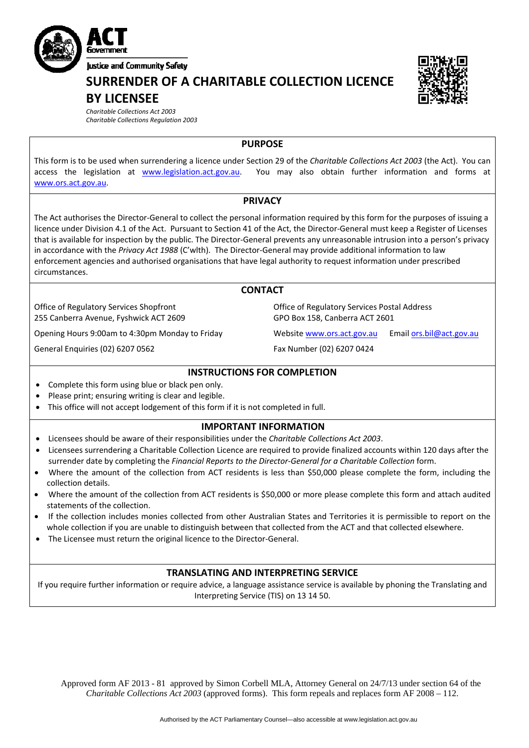

**SURRENDER OF A CHARITABLE COLLECTION LICENCE**

## **BY LICENSEE**

*Charitable Collections Act 2003 Charitable Collections Regulation 2003*

**PURPOSE** 

This form is to be used when surrendering a licence under Section 29 of the *Charitable Collections Act 2003* (the Act). You can access the legislation at [www.legislation.act.gov.au.](http://www.legislation.act.gov.au/) You may also obtain further information and forms at [www.ors.act.gov.au.](http://www.ors.act.gov.au/)

#### **PRIVACY**

The Act authorises the Director‐General to collect the personal information required by this form for the purposes of issuing a licence under Division 4.1 of the Act. Pursuant to Section 41 of the Act, the Director‐General must keep a Register of Licenses that is available for inspection by the public. The Director‐General prevents any unreasonable intrusion into a person's privacy in accordance with the *Privacy Act 1988* (C'wlth). The Director‐General may provide additional information to law enforcement agencies and authorised organisations that have legal authority to request information under prescribed circumstances.

#### **CONTACT**

Office of Regulatory Services Shopfront 255 Canberra Avenue, Fyshwick ACT 2609

Opening Hours 9:00am to 4:30pm Monday to Friday Website [www.ors.act.gov.au](http://www.ors.act.gov.au/) Email [ors.bil@act.gov.au](mailto:ors.bil@act.gov.au)

General Enquiries (02) 6207 0562 Fax Number (02) 6207 0424

Office of Regulatory Services Postal Address GPO Box 158, Canberra ACT 2601

#### **INSTRUCTIONS FOR COMPLETION**

- Complete this form using blue or black pen only.
- Please print; ensuring writing is clear and legible.
- This office will not accept lodgement of this form if it is not completed in full.

#### **IMPORTANT INFORMATION**

- Licensees should be aware of their responsibilities under the *Charitable Collections Act 2003*.
- Licensees surrendering a Charitable Collection Licence are required to provide finalized accounts within 120 days after the surrender date by completing the *Financial Reports to the Director‐General for a Charitable Collection* form.
- Where the amount of the collection from ACT residents is less than \$50,000 please complete the form, including the collection details.
- Where the amount of the collection from ACT residents is \$50,000 or more please complete this form and attach audited statements of the collection.
- If the collection includes monies collected from other Australian States and Territories it is permissible to report on the whole collection if you are unable to distinguish between that collected from the ACT and that collected elsewhere.
- The Licensee must return the original licence to the Director‐General.

#### **TRANSLATING AND INTERPRETING SERVICE**

If you require further information or require advice, a language assistance service is available by phoning the Translating and Interpreting Service (TIS) on 13 14 50.

Approved form AF 2013 - 81 approved by Simon Corbell MLA, Attorney General on 24/7/13 under section 64 of the *Charitable Collections Act 2003* (approved forms). This form repeals and replaces form AF 2008 – 112.